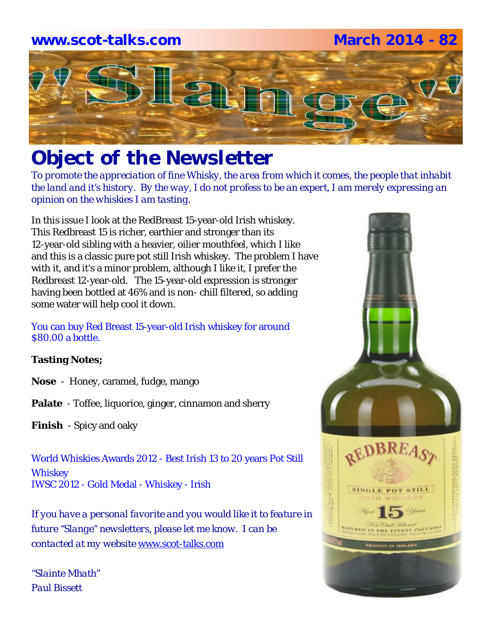# **www.scot-talks.com March 2014 - 82** $\Box$

## *Object of the Newsletter*

*To promote the appreciation of fine Whisky, the area from which it comes, the people that inhabit the land and it's history. By the way, I do not profess to be an expert, I am merely expressing an opinion on the whiskies I am tasting.* 

In this issue I look at the RedBreast 15-year-old Irish whiskey. This Redbreast 15 is richer, earthier and stronger than its 12-year-old sibling with a heavier, oilier mouthfeel, which I like and this is a classic pure pot still Irish whiskey. The problem I have with it, and it's a minor problem, although I like it, I prefer the Redbreast 12-year-old. The 15-year-old expression is stronger having been bottled at 46% and is non- chill filtered, so adding some water will help cool it down.

#### You can buy Red Breast 15-year-old Irish whiskey for around \$80.00 a bottle.

#### **Tasting Notes;**

- **Nose**  Honey, caramel, fudge, mango
- **Palate**  Toffee, liquorice, ginger, cinnamon and sherry
- **Finish**  Spicy and oaky

World Whiskies Awards 2012 - Best Irish 13 to 20 years Pot Still **Whiskey** IWSC 2012 - Gold Medal - Whiskey - Irish

*If you have a personal favorite and you would like it to feature in future "Slange" newsletters, please let me know. I can be contacted at my website* www.scot-talks.com

*"Slainte Mhath" Paul Bissett*

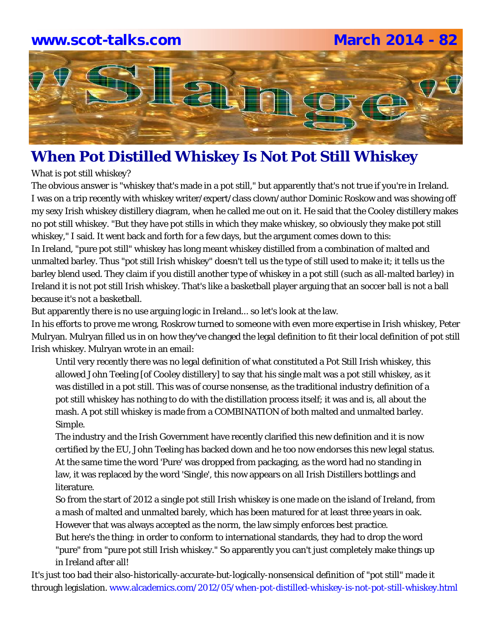#### **www.scot-talks.com March 2014 - 82**



#### **When Pot Distilled Whiskey Is Not Pot Still Whiskey**

What is pot still whiskey?

The obvious answer is "whiskey that's made in a pot still," but apparently that's not true if you're in Ireland. I was on a trip recently with whiskey writer/expert/class clown/author Dominic Roskow and was showing off my sexy Irish whiskey distillery diagram, when he called me out on it. He said that the Cooley distillery makes no pot still whiskey. "But they have pot stills in which they make whiskey, so obviously they make pot still whiskey," I said. It went back and forth for a few days, but the argument comes down to this: In Ireland, "pure pot still" whiskey has long meant whiskey distilled from a combination of malted and unmalted barley. Thus "pot still Irish whiskey" doesn't tell us the type of still used to make it; it tells us the barley blend used. They claim if you distill another type of whiskey in a pot still (such as all-malted barley) in Ireland it is not pot still Irish whiskey. That's like a basketball player arguing that an soccer ball is not a ball because it's not a basketball.

But apparently there is no use arguing logic in Ireland... so let's look at the law.

In his efforts to prove me wrong, Roskrow turned to someone with even more expertise in Irish whiskey, Peter Mulryan. Mulryan filled us in on how they've changed the legal definition to fit their local definition of pot still Irish whiskey. Mulryan wrote in an email:

Until very recently there was no legal definition of what constituted a Pot Still Irish whiskey, this allowed John Teeling [of Cooley distillery] to say that his single malt was a pot still whiskey, as it was distilled in a pot still. This was of course nonsense, as the traditional industry definition of a pot still whiskey has nothing to do with the distillation process itself; it was and is, all about the mash. A pot still whiskey is made from a COMBINATION of both malted and unmalted barley. Simple.

The industry and the Irish Government have recently clarified this new definition and it is now certified by the EU, John Teeling has backed down and he too now endorses this new legal status. At the same time the word 'Pure' was dropped from packaging, as the word had no standing in law, it was replaced by the word 'Single', this now appears on all Irish Distillers bottlings and literature.

So from the start of 2012 a single pot still Irish whiskey is one made on the island of Ireland, from a mash of malted and unmalted barely, which has been matured for at least three years in oak. However that was always accepted as the norm, the law simply enforces best practice.

But here's the thing: in order to conform to international standards, they had to drop the word "pure" from "pure pot still Irish whiskey." So apparently you can't just completely make things up in Ireland after all!

It's just too bad their also-historically-accurate-but-logically-nonsensical definition of "pot still" made it through legislation. www.alcademics.com/2012/05/when-pot-distilled-whiskey-is-not-pot-still-whiskey.html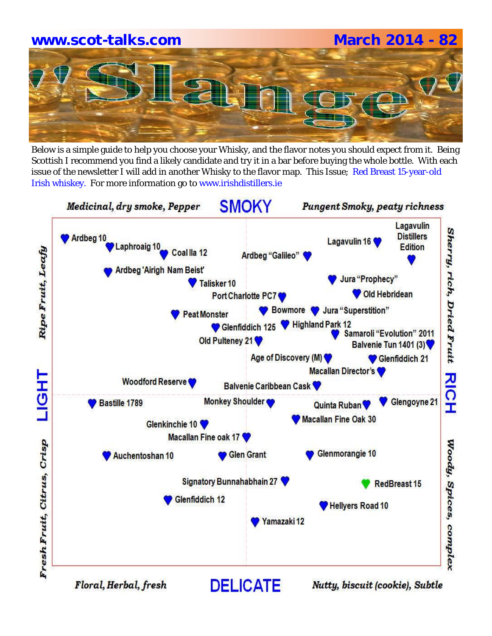# **www.scot-talks.com March 2014 - 82**

Below is a simple guide to help you choose your Whisky, and the flavor notes you should expect from it. Being Scottish I recommend you find a likely candidate and try it in a bar before buying the whole bottle. With each issue of the newsletter I will add in another Whisky to the flavor map. This Issue; Red Breast 15-year-old Irish whiskey. For more information go to www.irishdistillers.ie

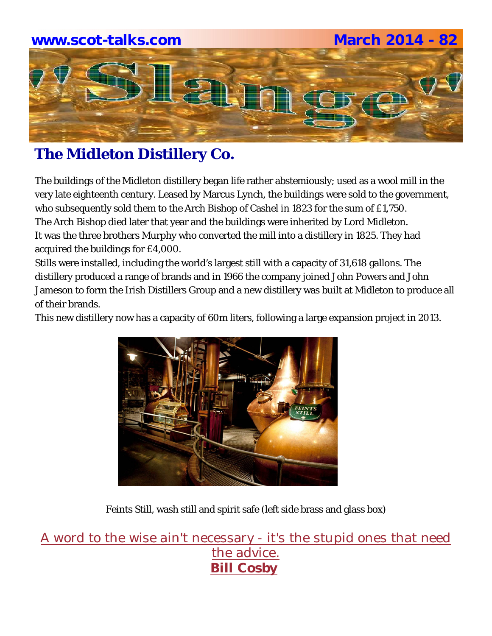

#### **The Midleton Distillery Co.**

The buildings of the Midleton distillery began life rather abstemiously; used as a wool mill in the very late eighteenth century. Leased by Marcus Lynch, the buildings were sold to the government, who subsequently sold them to the Arch Bishop of Cashel in 1823 for the sum of £1,750. The Arch Bishop died later that year and the buildings were inherited by Lord Midleton. It was the three brothers Murphy who converted the mill into a distillery in 1825. They had acquired the buildings for £4,000.

Stills were installed, including the world's largest still with a capacity of 31,618 gallons. The distillery produced a range of brands and in 1966 the company joined John Powers and John Jameson to form the Irish Distillers Group and a new distillery was built at Midleton to produce all of their brands.

This new distillery now has a capacity of 60m liters, following a large expansion project in 2013.



Feints Still, wash still and spirit safe (left side brass and glass box)

A word to the wise ain't necessary - it's the stupid ones that need the advice. **Bill Cosby**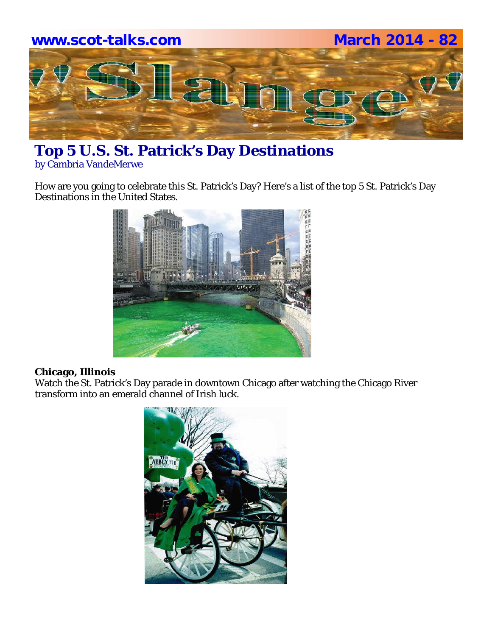

### **Top 5 U.S. St. Patrick's Day Destinations**

by Cambria VandeMerwe

How are you going to celebrate this St. Patrick's Day? Here's a list of the top 5 St. Patrick's Day Destinations in the United States.



#### **Chicago, Illinois**

Watch the St. Patrick's Day parade in downtown Chicago after watching the Chicago River transform into an emerald channel of Irish luck.